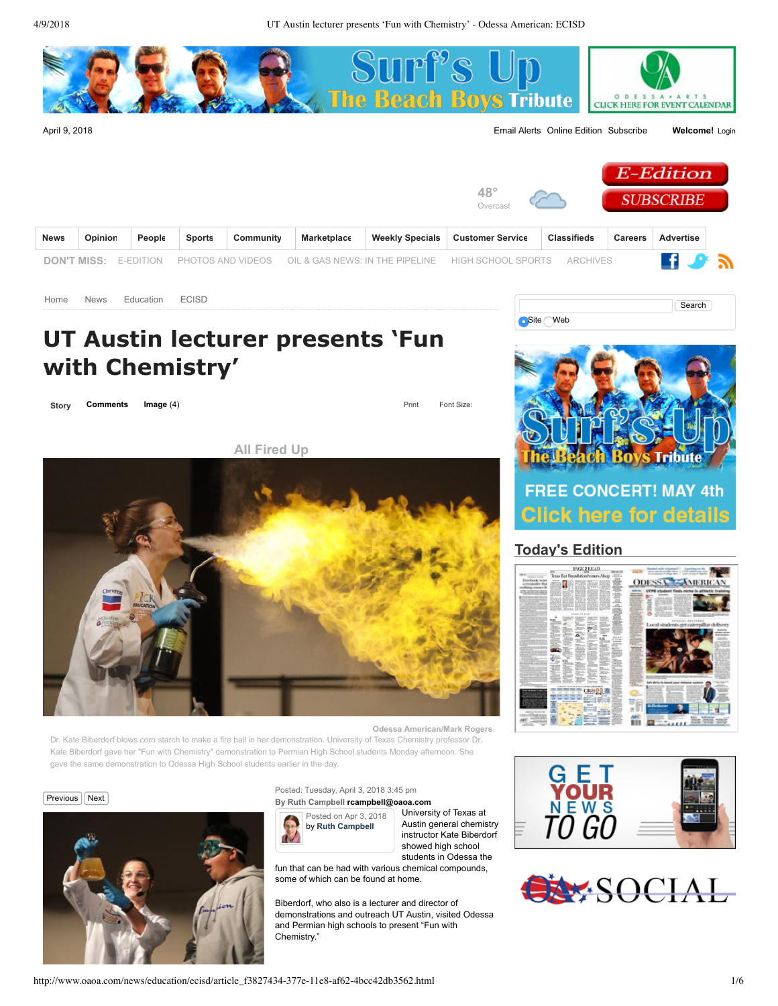

| <b>News</b> | Opinion | People | <b>Sports</b> | Community | Marketplace | Weekly Specials   Customer Service                                                                  | <b>Classifieds</b> | <b>Careers</b> | Advertise |  |
|-------------|---------|--------|---------------|-----------|-------------|-----------------------------------------------------------------------------------------------------|--------------------|----------------|-----------|--|
|             |         |        |               |           |             | DON'T MISS: E-EDITION PHOTOS AND VIDEOS OIL & GAS NEWS: IN THE PIPELINE HIGH SCHOOL SPORTS ARCHIVES |                    |                | ∎ ⊁ ∌     |  |
|             |         |        |               |           |             |                                                                                                     |                    |                |           |  |

[Home](http://www.oaoa.com/) [News](http://www.oaoa.com/news/) [Education](http://www.oaoa.com/news/education/) [ECISD](http://www.oaoa.com/news/education/ecisd/)

# **UT Austin lecturer presents 'Fun with Chemistry'**

**[Story](http://www.oaoa.com/news/education/ecisd/article_f3827434-377e-11e8-af62-4bcc42db3562.html?mode=story) [Comments](http://www.oaoa.com/news/education/ecisd/article_f3827434-377e-11e8-af62-4bcc42db3562.html#facebook-comments) Image** (4) **Print Font Size:** 

**[All Fired Up](http://www.oaoa.com/news/education/ecisd/article_f3827434-377e-11e8-af62-4bcc42db3562.html?mode=image&photo=%27)**



**Odessa American/Mark Rogers**

Dr. Kate Biberdorf blows corn starch to make a fire ball in her demonstration. University of Texas Chemistry professor Dr. Kate Biberdorf gave her "Fun with Chemistry" demonstration to Permian High School students Monday afternoon. She gave the same demonstration to Odessa High School students earlier in the day.





#### Posted: Tuesday, April 3, 2018 3:45 pm **By Ruth Campbell [rcampbell@oaoa.com](mailto:rcampbell@oaoa.com)**



University of Texas at Austin general chemistry instructor Kate Biberdorf showed high school students in Odessa the

fun that can be had with various chemical compounds, some of which can be found at home.

Biberdorf, who also is a lecturer and director of demonstrations and outreach UT Austin, visited Odessa and Permian high schools to present "Fun with Chemistry."



Search

## **[Today's Edition](http://www.myoaoa.com/)**

**Site** Web